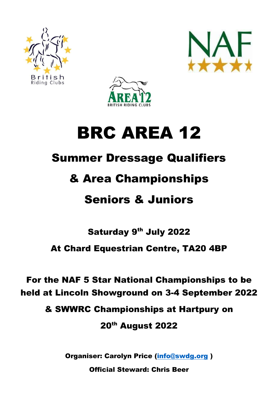





# BRC AREA 12

## Summer Dressage Qualifiers

### & Area Championships

### Seniors & Juniors

### Saturday 9<sup>th</sup> July 2022 At Chard Equestrian Centre, TA20 4BP

### For the NAF 5 Star National Championships to be held at Lincoln Showground on 3-4 September 2022

& SWWRC Championships at Hartpury on

20th August 2022

Organiser: Carolyn Price [\(info@swdg.org](mailto:info@swdg.org) )

Official Steward: Chris Beer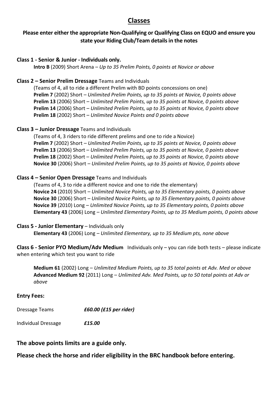#### **Classes**

#### **Please enter either the appropriate Non-Qualifying or Qualifying Class on EQUO and ensure you state your Riding Club/Team details in the notes**

#### **Class 1 - Senior & Junior - Individuals only.**

**Intro B** (2009) Short Arena – *Up to 35 Prelim Points, 0 points at Novice or above*

#### **Class 2 – Senior Prelim Dressage** Teams and Individuals

(Teams of 4, all to ride a different Prelim with BD points concessions on one) **Prelim 7** (2002) Short – *Unlimited Prelim Points, up to 35 points at Novice, 0 points above* **Prelim 13** (2006) Short – *Unlimited Prelim Points, up to 35 points at Novice, 0 points above* **Prelim 14** (2006) Short – *Unlimited Prelim Points, up to 35 points at Novice, 0 points above* **Prelim 18** (2002) Short – *Unlimited Novice Points and 0 points above*

#### **Class 3 – Junior Dressage** Teams and Individuals

(Teams of 4, 3 riders to ride different prelims and one to ride a Novice) **Prelim 7** (2002) Short – *Unlimited Prelim Points, up to 35 points at Novice, 0 points above* **Prelim 13** (2006) Short – *Unlimited Prelim Points, up to 35 points at Novice, 0 points above* **Prelim 18** (2002) Short – *Unlimited Prelim Points, up to 35 points at Novice, 0 points above* **Novice 30** (2006) Short – *Unlimited Prelim Points, up to 35 points at Novice, 0 points above*

#### **Class 4 – Senior Open Dressage** Teams and Individuals

(Teams of 4, 3 to ride a different novice and one to ride the elementary) **Novice 24** (2010) Short – *Unlimited Novice Points, up to 35 Elementary points, 0 points above* **Novice 30** (2006) Short – *Unlimited Novice Points, up to 35 Elementary points, 0 points above* **Novice 39** (2010) Long – *Unlimited Novice Points, up to 35 Elementary points, 0 points above* **Elementary 43** (2006) Long – *Unlimited Elementary Points, up to 35 Medium points, 0 points above*

#### **Class 5 - Junior Elementary** – Individuals only

**Elementary 43** (2006) Long – *Unlimited Elementary, up to 35 Medium pts, none above*

**Class 6 - Senior PYO Medium/Adv Medium** Individuals only – you can ride both tests – please indicate when entering which test you want to ride

**Medium 61** (2002) Long – *Unlimited Medium Points, up to 35 total points at Adv. Med or above* **Advanced Medium 92** (2011) Long – *Unlimited Adv. Med Points, up to 50 total points at Adv or above*

#### **Entry Fees:**

| Dressage Teams | £60.00 (£15 per rider) |
|----------------|------------------------|
|                |                        |

Individual Dressage *£15.00*

**The above points limits are a guide only.** 

**Please check the horse and rider eligibility in the BRC handbook before entering.**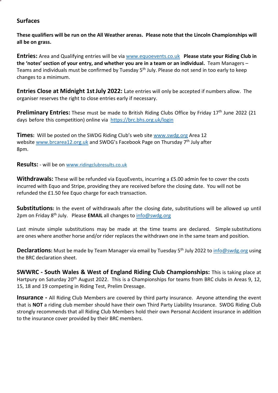#### **Surfaces**

**These qualifiers will be run on the All Weather arenas. Please note that the Lincoln Championships will all be on grass.**

**Entries:** Area and Qualifying entries will be via [www.equoevents.co.uk](http://www.equoevents.co.uk/) **Please state your Riding Club in the 'notes' section of your entry, and whether you are in a team or an individual.** Team Managers – Teams and individuals must be confirmed by Tuesday 5<sup>th</sup> July. Please do not send in too early to keep changes to a minimum.

**Entries Close at Midnight 1stJuly 2022:** Late entries will only be accepted if numbers allow. The organiser reserves the right to close entries early if necessary.

**Preliminary Entries:** These must be made to British Riding Clubs Office by Friday 17<sup>th</sup> June 2022 (21) days before this competition) online via <https://brc.bhs.org.uk/login>

**Times:** Will be posted on the SWDG Riding Club's web site [www.swdg.org](http://www.swdg.org/) Area 12 website [www.brcarea12.org.uk](http://www.brcarea12.org.uk/) and SWDG's Facebook Page on Thursday 7<sup>th</sup> July after 8pm.

**Results:** - will be on [www.](http://www.ridingclubresults.co.uk/)[ridingclubresults.co.uk](http://www.ridingclubresults.co.uk/)

**Withdrawals:** These will be refunded via EquoEvents, incurring a £5.00 admin fee to cover the costs incurred with Equo and Stripe, providing they are received before the closing date. You will not be refunded the £1.50 fee Equo charge for each transaction.

**Substitutions:** In the event of withdrawals after the closing date, substitutions will be allowed up until 2pm on Friday 8<sup>th</sup> July. Please **EMAIL** all changes to **[info@swdg.org](mailto:info@swdg.org)** 

Last minute simple substitutions may be made at the time teams are declared. Simple substitutions are ones where another horse and/or rider replaces the withdrawn one in the same team and position.

**Declarations:** Must be made by Team Manager via email by Tuesday 5<sup>th</sup> July 2022 to [info@swdg.org](mailto:info@swdg.org) using the BRC declaration sheet.

**SWWRC - South Wales & West of England Riding Club Championships:** This is taking place at Hartpury on Saturday 20<sup>th</sup> August 2022. This is a Championships for teams from BRC clubs in Areas 9, 12, 15, 18 and 19 competing in Riding Test, Prelim Dressage.

**Insurance** - All Riding Club Members are covered by third party insurance. Anyone attending the event that is **NOT** a riding club member should have their own Third Party Liability Insurance. SWDG Riding Club strongly recommends that all Riding Club Members hold their own Personal Accident insurance in addition to the insurance cover provided by their BRC members.